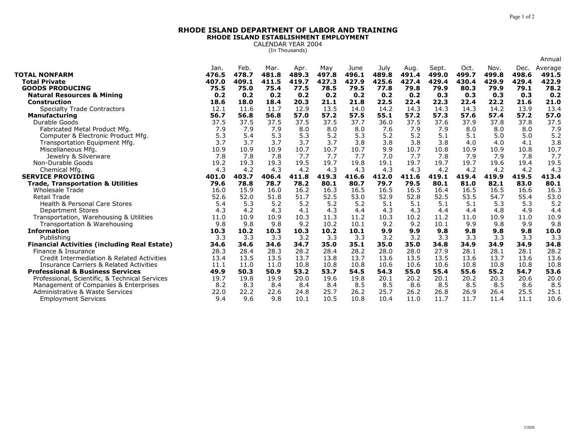## **RHODE ISLAND DEPARTMENT OF LABOR AND TRAININGRHODE ISLAND ESTABLISHMENT EMPLOYMENT**

CALENDAR YEAR 2004 (In Thousands)

|                                                                         |              |               |              |               |               |               |               |               |               |               |               |               | Annual        |
|-------------------------------------------------------------------------|--------------|---------------|--------------|---------------|---------------|---------------|---------------|---------------|---------------|---------------|---------------|---------------|---------------|
|                                                                         | Jan.         | Feb.          | Mar.         | Apr.          | May           | June          | July          | Aug.          | Sept.         | Oct.          | Nov.          | Dec.          | Average       |
| <b>TOTAL NONFARM</b>                                                    | 476.5        | 478.7         | 481.8        | 489.3         | 497.8         | 496.1         | 489.8         | 491.4         | 499.0         | 499.7         | 499.8         | 498.6         | 491.5         |
| <b>Total Private</b>                                                    | 407.0        | 409.1         | 411.5        | 419.7         | 427.3         | 427.9         | 425.6         | 427.4         | 429.4         | 430.4         | 429.9         | 429.4         | 422.9         |
| <b>GOODS PRODUCING</b>                                                  | 75.5         | 75.0          | 75.4         | 77.5          | 78.5          | 79.5          | 77.8          | 79.8          | 79.9          | 80.3          | 79.9          | 79.1          | 78.2          |
| <b>Natural Resources &amp; Mining</b>                                   | 0.2          | 0.2           | 0.2          | 0.2           | 0.2           | 0.2           | 0.2           | 0.2           | 0.3           | 0.3           | 0.3           | 0.3           | 0.2           |
| <b>Construction</b>                                                     | 18.6         | 18.0          | 18.4         | 20.3          | 21.1          | 21.8          | 22.5<br>14.2  | 22.4<br>14.3  | 22.3          | 22.4<br>14.3  | 22.2<br>14.2  | 21.6<br>13.9  | 21.0<br>13.4  |
| <b>Specialty Trade Contractors</b>                                      | 12.1<br>56.7 | 11.6<br>56.8  | 11.7<br>56.8 | 12.9          | 13.5          | 14.0          | 55.1          |               | 14.3          |               | 57.4          |               |               |
| <b>Manufacturing</b><br>Durable Goods                                   |              |               |              | 57.0          | 57.2          | 57.5<br>37.7  |               | 57.2          | 57.3<br>37.6  | 57.6          | 37.8          | 57.2<br>37.8  | 57.0<br>37.5  |
|                                                                         | 37.5         | 37.5<br>7.9   | 37.5         | 37.5          | 37.5<br>8.0   | 8.0           | 36.0          | 37.5          | 7.9           | 37.9<br>8.0   | 8.0           | 8.0           | 7.9           |
| Fabricated Metal Product Mfg.                                           | 7.9          |               | 7.9          | 8.0           |               |               | 7.6           | 7.9           |               |               |               |               |               |
| Computer & Electronic Product Mfg.                                      | 5.3<br>3.7   | 5.4<br>3.7    | 5.3<br>3.7   | 5.3           | 5.2           | 5.3           | 5.2           | 5.2           | 5.1           | 5.1           | 5.0           | 5.0           | 5.2           |
| Transportation Equipment Mfg.                                           |              |               |              | 3.7           | 3.7           | 3.8           | 3.8           | 3.8           | 3.8           | 4.0           | 4.0           | 4.1           | 3.8           |
| Miscellaneous Mfg.                                                      | 10.9         | 10.9          | 10.9         | 10.7          | 10.7          | 10.7          | 9.9           | 10.7          | 10.8          | 10.9          | 10.9          | 10.8          | 10.7          |
| Jewelry & Silverware                                                    | 7.8          | 7.8           | 7.8          | 7.7           | 7.7           | 7.7           | 7.0           | 7.7           | 7.8           | 7.9           | 7.9           | 7.8           | 7.7           |
| Non-Durable Goods                                                       | 19.2         | 19.3          | 19.3         | 19.5          | 19.7          | 19.8          | 19.1          | 19.7          | 19.7          | 19.7          | 19.6          | 19.4          | 19.5          |
| Chemical Mfg.                                                           | 4.3          | 4.2           | 4.3          | 4.2           | 4.3           | 4.3           | 4.3           | 4.3           | 4.2           | 4.2           | 4.2           | 4.2           | 4.3           |
| <b>SERVICE PROVIDING</b>                                                | 401.0        | 403.7<br>78.8 | 406.4        | 411.8<br>78.2 | 419.3<br>80.1 | 416.6<br>80.7 | 412.0<br>79.7 | 411.6<br>79.5 | 419.1<br>80.1 | 419.4<br>81.0 | 419.9<br>82.1 | 419.5<br>83.0 | 413.4<br>80.1 |
| <b>Trade, Transportation &amp; Utilities</b><br><b>Wholesale Trade</b>  | 79.6<br>16.0 | 15.9          | 78.7<br>16.0 | 16.2          | 16.3          | 16.5          | 16.5          | 16.5          | 16.4          | 16.5          | 16.5          | 16.6          | 16.3          |
| <b>Retail Trade</b>                                                     | 52.6         | 52.0          | 51.8         | 51.7          | 52.5          | 53.0          | 52.9          | 52.8          | 52.5          | 53.5          | 54.7          | 55.4          | 53.0          |
| <b>Health &amp; Personal Care Stores</b>                                | 5.4          | 5.3           | 5.2          | 5.2           | 5.2           | 5.2           | 5.1           | 5.1           | 5.1           | 5.1           | 5.3           | 5.3           | 5.2           |
| <b>Department Stores</b>                                                | 4.3          | 4.2           | 4.3          | 4.1           | 4.3           | 4.4           | 4.3           | 4.3           | 4.4           | 4.4           | 4.8           | 4.9           | 4.4           |
|                                                                         | 11.0         | 10.9          | 10.9         | 10.3          | 11.3          | 11.2          | 10.3          | 10.2          | 11.2          | 11.0          | 10.9          | 11.0          | 10.9          |
| Transportation, Warehousing & Utilities<br>Transportation & Warehousing | 9.8          | 9.8           | 9.8          | 9.2           | 10.2          | 10.1          | 9.2           | 9.2           | 10.1          | 9.9           | 9.8           | 9.9           | 9.8           |
| <b>Information</b>                                                      | 10.3         | 10.2          | 10.3         | 10.3          | 10.2          | 10.1          | 9.9           | 9.9           | 9.8           | 9.8           | 9.8           | 9.8           | 10.0          |
| Publishing                                                              | 3.3          | 3.3           | 3.3          | 3.2           | 3.3           | 3.3           | 3.2           | 3.2           | 3.3           | 3.3           | 3.3           | 3.3           | 3.3           |
| <b>Financial Activities (including Real Estate)</b>                     | 34.6         | 34.6          | 34.6         | 34.7          | 35.0          | 35.1          | 35.0          | 35.0          | 34.8          | 34.9          | 34.9          | 34.9          | 34.8          |
| Finance & Insurance                                                     | 28.3         | 28.4          | 28.3         | 28.2          | 28.4          | 28.2          | 28.0          | 28.0          | 27.9          | 28.1          | 28.1          | 28.1          | 28.2          |
| Credit Intermediation & Related Activities                              | 13.4         | 13.5          | 13.5         | 13.7          | 13.8          | 13.7          | 13.6          | 13.5          | 13.5          | 13.6          | 13.7          | 13.6          | 13.6          |
| <b>Insurance Carriers &amp; Related Activities</b>                      | 11.1         | 11.0          | 11.0         | 10.8          | 10.8          | 10.8          | 10.6          | 10.6          | 10.6          | 10.8          | 10.8          | 10.8          | 10.8          |
| <b>Professional &amp; Business Services</b>                             |              |               |              |               |               |               |               | 55.0          |               |               |               |               | 53.6          |
|                                                                         |              |               |              |               |               |               |               |               |               |               |               |               |               |
|                                                                         | 49.9         | 50.3          | 50.9         | 53.2          | 53.7          | 54.5          | 54.3          |               | 55.4          | 55.6          | 55.2          | 54.7          |               |
| Professional, Scientific, & Technical Services                          | 19.7         | 19.8          | 19.9         | 20.0          | 19.6          | 19.8          | 20.1          | 20.2          | 20.1          | 20.2          | 20.3          | 20.6          | 20.0          |
| Management of Companies & Enterprises                                   | 8.2          | 8.3           | 8.4          | 8.4           | 8.4           | 8.5           | 8.5           | 8.6           | 8.5           | 8.5           | 8.5           | 8.6           | 8.5           |
| Administrative & Waste Services<br><b>Employment Services</b>           | 22.0<br>9.4  | 22.2<br>9.6   | 22.6<br>9.8  | 24.8<br>10.1  | 25.7<br>10.5  | 26.2<br>10.8  | 25.7<br>10.4  | 26.2<br>11.0  | 26.8<br>11.7  | 26.9<br>11.7  | 26.4<br>11.4  | 25.5<br>11.1  | 25.1<br>10.6  |